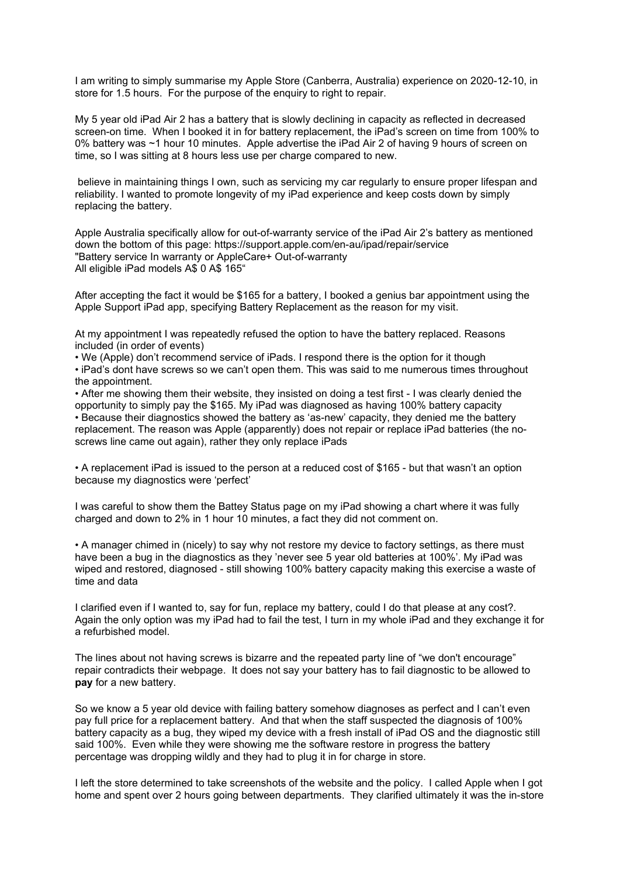I am writing to simply summarise my Apple Store (Canberra, Australia) experience on 2020-12-10, in store for 1.5 hours. For the purpose of the enquiry to right to repair.

My 5 year old iPad Air 2 has a battery that is slowly declining in capacity as reflected in decreased screen-on time. When I booked it in for battery replacement, the iPad's screen on time from 100% to 0% battery was ~1 hour 10 minutes. Apple advertise the iPad Air 2 of having 9 hours of screen on time, so I was sitting at 8 hours less use per charge compared to new.

believe in maintaining things I own, such as servicing my car regularly to ensure proper lifespan and reliability. I wanted to promote longevity of my iPad experience and keep costs down by simply replacing the battery.

Apple Australia specifically allow for out-of-warranty service of the iPad Air 2's battery as mentioned down the bottom of this page: https://support.apple.com/en-au/ipad/repair/service "Battery service In warranty or AppleCare+ Out-of-warranty All eligible iPad models A\$ 0 A\$ 165"

After accepting the fact it would be \$165 for a battery, I booked a genius bar appointment using the Apple Support iPad app, specifying Battery Replacement as the reason for my visit.

At my appointment I was repeatedly refused the option to have the battery replaced. Reasons included (in order of events)

• We (Apple) don't recommend service of iPads. I respond there is the option for it though • iPad's dont have screws so we can't open them. This was said to me numerous times throughout the appointment.

• After me showing them their website, they insisted on doing a test first - I was clearly denied the opportunity to simply pay the \$165. My iPad was diagnosed as having 100% battery capacity • Because their diagnostics showed the battery as 'as-new' capacity, they denied me the battery replacement. The reason was Apple (apparently) does not repair or replace iPad batteries (the noscrews line came out again), rather they only replace iPads

• A replacement iPad is issued to the person at a reduced cost of \$165 - but that wasn't an option because my diagnostics were 'perfect'

I was careful to show them the Battey Status page on my iPad showing a chart where it was fully charged and down to 2% in 1 hour 10 minutes, a fact they did not comment on.

• A manager chimed in (nicely) to say why not restore my device to factory settings, as there must have been a bug in the diagnostics as they 'never see 5 year old batteries at 100%'. My iPad was wiped and restored, diagnosed - still showing 100% battery capacity making this exercise a waste of time and data

I clarified even if I wanted to, say for fun, replace my battery, could I do that please at any cost?. Again the only option was my iPad had to fail the test, I turn in my whole iPad and they exchange it for a refurbished model.

The lines about not having screws is bizarre and the repeated party line of "we don't encourage" repair contradicts their webpage. It does not say your battery has to fail diagnostic to be allowed to **pay** for a new battery.

So we know a 5 year old device with failing battery somehow diagnoses as perfect and I can't even pay full price for a replacement battery. And that when the staff suspected the diagnosis of 100% battery capacity as a bug, they wiped my device with a fresh install of iPad OS and the diagnostic still said 100%. Even while they were showing me the software restore in progress the battery percentage was dropping wildly and they had to plug it in for charge in store.

I left the store determined to take screenshots of the website and the policy. I called Apple when I got home and spent over 2 hours going between departments. They clarified ultimately it was the in-store